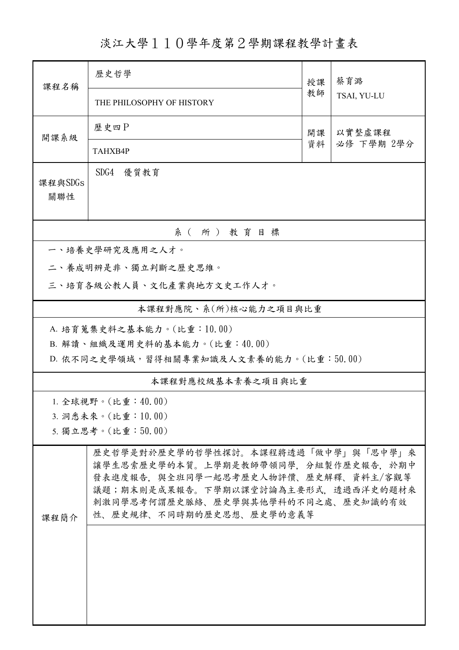淡江大學110學年度第2學期課程教學計畫表

| 課程名稱                                     | 歷史哲學                                                                      | 授課           | 蔡育潞<br>TSAI, YU-LU |  |  |  |  |  |
|------------------------------------------|---------------------------------------------------------------------------|--------------|--------------------|--|--|--|--|--|
|                                          | THE PHILOSOPHY OF HISTORY                                                 | 教師           |                    |  |  |  |  |  |
| 開課系級                                     | 歷史四日                                                                      | 以實整虛課程<br>開課 |                    |  |  |  |  |  |
|                                          | TAHXB4P                                                                   | 資料           | 必修 下學期 2學分         |  |  |  |  |  |
| 課程與SDGs<br>關聯性                           | SDG4 優質教育                                                                 |              |                    |  |  |  |  |  |
| 系(所)教育目標                                 |                                                                           |              |                    |  |  |  |  |  |
| 一、培養史學研究及應用之人才。                          |                                                                           |              |                    |  |  |  |  |  |
| 二、養成明辨是非、獨立判斷之歷史思維。                      |                                                                           |              |                    |  |  |  |  |  |
| 三、培育各級公教人員、文化產業與地方文史工作人才。                |                                                                           |              |                    |  |  |  |  |  |
| 本課程對應院、系(所)核心能力之項目與比重                    |                                                                           |              |                    |  |  |  |  |  |
| A. 培育蒐集史料之基本能力。(比重:10.00)                |                                                                           |              |                    |  |  |  |  |  |
|                                          | B. 解讀、組織及運用史料的基本能力。(比重:40.00)                                             |              |                    |  |  |  |  |  |
| D. 依不同之史學領域,習得相關專業知識及人文素養的能力。(比重:50.00)  |                                                                           |              |                    |  |  |  |  |  |
| 本課程對應校級基本素養之項目與比重                        |                                                                           |              |                    |  |  |  |  |  |
|                                          | 1. 全球視野。(比重:4 $0.00$ )                                                    |              |                    |  |  |  |  |  |
| 3. 洞悉未來。(比重:10.00)<br>5. 獨立思考。(比重:50.00) |                                                                           |              |                    |  |  |  |  |  |
| 歷史哲學是對於歷史學的哲學性探討。本課程將透過「做中學」與「思中學」來      |                                                                           |              |                    |  |  |  |  |  |
|                                          | 讓學生思索歷史學的本質。上學期是教師帶領同學,分組製作歷史報告,於期中                                       |              |                    |  |  |  |  |  |
|                                          | 發表進度報告,與全班同學一起思考歷史人物評價、歷史解釋、資料主/客觀等                                       |              |                    |  |  |  |  |  |
|                                          | 議題;期末則是成果報告。下學期以課堂討論為主要形式,透過西洋史的題材來<br>刺激同學思考何謂歷史脈絡、歷史學與其他學科的不同之處、歷史知識的有效 |              |                    |  |  |  |  |  |
| 课程簡介                                     | 性、歷史規律、不同時期的歷史思想、歷史學的意義等                                                  |              |                    |  |  |  |  |  |
|                                          |                                                                           |              |                    |  |  |  |  |  |
|                                          |                                                                           |              |                    |  |  |  |  |  |
|                                          |                                                                           |              |                    |  |  |  |  |  |
|                                          |                                                                           |              |                    |  |  |  |  |  |
|                                          |                                                                           |              |                    |  |  |  |  |  |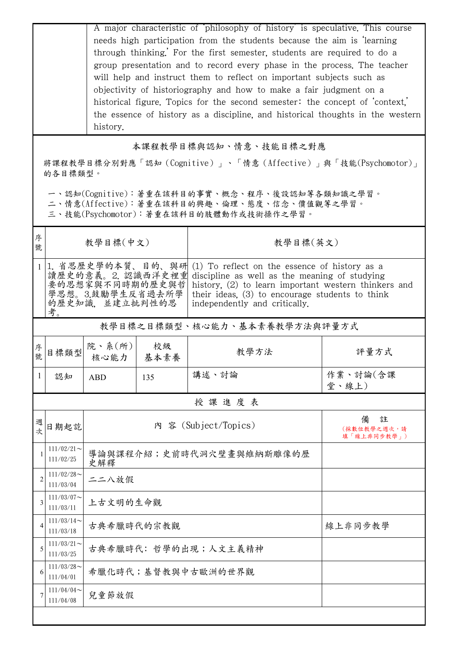|        |                                                                                                                                        | A major characteristic of philosophy of history is speculative. This course<br>needs high participation from the students because the aim is learning<br>through thinking.' For the first semester, students are required to do a<br>group presentation and to record every phase in the process. The teacher<br>will help and instruct them to reflect on important subjects such as<br>objectivity of historiography and how to make a fair judgment on a<br>historical figure. Topics for the second semester: the concept of context,<br>the essence of history as a discipline, and historical thoughts in the western<br>history. |            |                          |                                      |  |  |
|--------|----------------------------------------------------------------------------------------------------------------------------------------|-----------------------------------------------------------------------------------------------------------------------------------------------------------------------------------------------------------------------------------------------------------------------------------------------------------------------------------------------------------------------------------------------------------------------------------------------------------------------------------------------------------------------------------------------------------------------------------------------------------------------------------------|------------|--------------------------|--------------------------------------|--|--|
|        | 本課程教學目標與認知、情意、技能目標之對應                                                                                                                  |                                                                                                                                                                                                                                                                                                                                                                                                                                                                                                                                                                                                                                         |            |                          |                                      |  |  |
|        | 將課程教學目標分別對應「認知(Cognitive)」、「情意(Affective)」與「技能(Psychomotor)」<br>的各目標類型。                                                                |                                                                                                                                                                                                                                                                                                                                                                                                                                                                                                                                                                                                                                         |            |                          |                                      |  |  |
|        | 一、認知(Cognitive):著重在該科目的事實、概念、程序、後設認知等各類知識之學習。<br>二、情意(Affective):著重在該科目的興趣、倫理、態度、信念、價值觀等之學習。<br>三、技能(Psychomotor):著重在該科目的肢體動作或技術操作之學習。 |                                                                                                                                                                                                                                                                                                                                                                                                                                                                                                                                                                                                                                         |            |                          |                                      |  |  |
| 序<br>號 |                                                                                                                                        | 教學目標(中文)                                                                                                                                                                                                                                                                                                                                                                                                                                                                                                                                                                                                                                |            | 教學目標(英文)                 |                                      |  |  |
| 1      | 考。                                                                                                                                     | 1. 省思歷史學的本質、目的、與研<br>(1) To reflect on the essence of history as a<br>讀歷史的意義。2. 認識西洋史裡重<br>discipline as well as the meaning of studying<br>要的思想家與不同時期的歷史與哲<br>history, (2) to learn important western thinkers and<br>學思想。3.鼓勵學生反省過去所學<br>their ideas, $(3)$ to encourage students to think<br>的歷史知識, 並建立批判性的思<br>independently and critically.                                                                                                                                                                                                                                                                                        |            |                          |                                      |  |  |
|        | 教學目標之目標類型、核心能力、基本素養教學方法與評量方式                                                                                                           |                                                                                                                                                                                                                                                                                                                                                                                                                                                                                                                                                                                                                                         |            |                          |                                      |  |  |
| 序<br>號 | 目標類型                                                                                                                                   | 院、系 $(\kappa)$  <br>核心能力                                                                                                                                                                                                                                                                                                                                                                                                                                                                                                                                                                                                                | 校級<br>基本素養 | 教學方法                     | 評量方式                                 |  |  |
| 1      | 認知                                                                                                                                     | <b>ABD</b>                                                                                                                                                                                                                                                                                                                                                                                                                                                                                                                                                                                                                              | 135        | 講述、討論                    | 作業、討論(含課<br>堂、線上)                    |  |  |
|        | 授課進度表                                                                                                                                  |                                                                                                                                                                                                                                                                                                                                                                                                                                                                                                                                                                                                                                         |            |                          |                                      |  |  |
| 週<br>次 | 日期起訖                                                                                                                                   |                                                                                                                                                                                                                                                                                                                                                                                                                                                                                                                                                                                                                                         |            | 內 容 (Subject/Topics)     | 註<br>備<br>(採數位教學之週次,請<br>填「線上非同步教學」) |  |  |
|        | $111/02/21$ ~<br>111/02/25                                                                                                             | 史解釋                                                                                                                                                                                                                                                                                                                                                                                                                                                                                                                                                                                                                                     |            | 導論與課程介紹;史前時代洞穴壁畫與維納斯雕像的歷 |                                      |  |  |
| 2      | $111/02/28$ ~<br>111/03/04                                                                                                             | 二二八放假                                                                                                                                                                                                                                                                                                                                                                                                                                                                                                                                                                                                                                   |            |                          |                                      |  |  |
| 3      | $111/03/07$ ~<br>111/03/11                                                                                                             | 上古文明的生命觀                                                                                                                                                                                                                                                                                                                                                                                                                                                                                                                                                                                                                                |            |                          |                                      |  |  |
| 4      | $111/03/14$ ~<br>111/03/18                                                                                                             | 古典希臘時代的宗教觀                                                                                                                                                                                                                                                                                                                                                                                                                                                                                                                                                                                                                              |            | 線上非同步教學                  |                                      |  |  |
| 5      | $111/03/21$ ~<br>111/03/25                                                                                                             | 古典希臘時代: 哲學的出現;人文主義精神                                                                                                                                                                                                                                                                                                                                                                                                                                                                                                                                                                                                                    |            |                          |                                      |  |  |
| 6      | $111/03/28$ ~<br>111/04/01                                                                                                             | 希臘化時代;基督教與中古歐洲的世界觀                                                                                                                                                                                                                                                                                                                                                                                                                                                                                                                                                                                                                      |            |                          |                                      |  |  |
| 7      | 111/04/04<br>111/04/08                                                                                                                 | 兒童節放假                                                                                                                                                                                                                                                                                                                                                                                                                                                                                                                                                                                                                                   |            |                          |                                      |  |  |
|        |                                                                                                                                        |                                                                                                                                                                                                                                                                                                                                                                                                                                                                                                                                                                                                                                         |            |                          |                                      |  |  |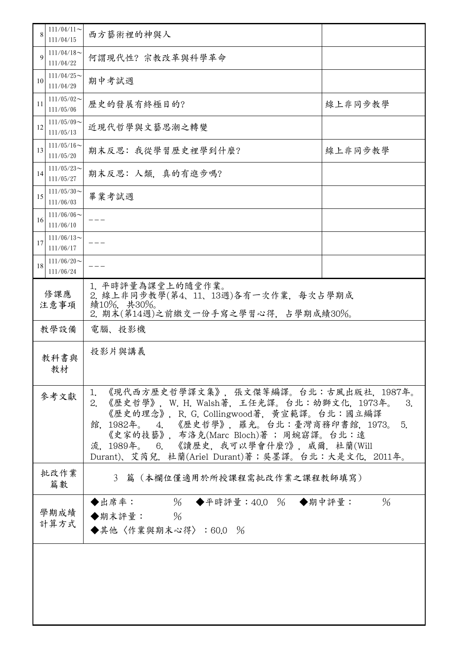| 8            | $111/04/11$ ~<br>111/04/15                      | 西方藝術裡的神與人                                                                                                                                                                                                                                                                                                                              |               |  |  |
|--------------|-------------------------------------------------|----------------------------------------------------------------------------------------------------------------------------------------------------------------------------------------------------------------------------------------------------------------------------------------------------------------------------------------|---------------|--|--|
| 9            | $111/04/18$ ~<br>111/04/22                      | 何謂現代性?宗教改革與科學革命                                                                                                                                                                                                                                                                                                                        |               |  |  |
| 10           | $111/04/25$ ~<br>111/04/29                      | 期中考試週                                                                                                                                                                                                                                                                                                                                  |               |  |  |
| 11           | $111/05/02$ ~<br>111/05/06                      | 歷史的發展有終極目的?                                                                                                                                                                                                                                                                                                                            | 線上非同步教學       |  |  |
| 12           | $111/05/09$ ~<br>111/05/13                      | 近現代哲學與文藝思潮之轉變                                                                                                                                                                                                                                                                                                                          |               |  |  |
| 13           | $111/05/16 \sim$<br>111/05/20                   | 期末反思: 我從學習歷史裡學到什麼?                                                                                                                                                                                                                                                                                                                     | 線上非同步教學       |  |  |
| 14           | $111/05/23$ ~<br>期末反思: 人類, 真的有進步嗎?<br>111/05/27 |                                                                                                                                                                                                                                                                                                                                        |               |  |  |
| 15           | $111/05/30$ ~<br>畢業考試週<br>111/06/03             |                                                                                                                                                                                                                                                                                                                                        |               |  |  |
| 16           | 111/06/06<br>111/06/10                          |                                                                                                                                                                                                                                                                                                                                        |               |  |  |
| 17           | $111/06/13$ ~<br>111/06/17                      |                                                                                                                                                                                                                                                                                                                                        |               |  |  |
| 18           | $111/06/20$ ~<br>111/06/24                      |                                                                                                                                                                                                                                                                                                                                        |               |  |  |
| 修課應<br>注意事項  |                                                 | 1. 平時評量為課堂上的隨堂作業。<br>2. 線上非同步教學(第4、11、13週)各有一次作業, 每次占學期成<br>績10%, 共30%。<br>2. 期末(第14週)之前繳交一份手寫之學習心得,占學期成績30%。                                                                                                                                                                                                                          |               |  |  |
|              | 教學設備                                            | 電腦、投影機                                                                                                                                                                                                                                                                                                                                 |               |  |  |
|              | 投影片與講義<br>教科書與<br>教材                            |                                                                                                                                                                                                                                                                                                                                        |               |  |  |
| 參考文獻         |                                                 | 1. 《現代西方歷史哲學譯文集》,張文傑等編譯。台北:古風出版社,1987年。<br>2. 《歷史哲學》, W. H. Walsh著, 王任光譯。台北:幼獅文化, 1973年。<br>3.<br>《歷史的理念》, R. G. Collingwood著, 黃宣範譯。台北:國立編譯<br>館,1982年。 4. 《歷史哲學》,羅光。台北:臺灣商務印書館,1973。<br>5.<br>《史家的技藝》, 布洛克(Marc Bloch)著; 周婉窈譯。台北:遠<br>流, 1989年。 6. 《讀歷史, 我可以學會什麼?》, 威爾. 杜蘭(Will<br>Durant)、艾芮兒. 杜蘭(Ariel Durant)著;吳墨譯。台北:大是文化, 2011年。 |               |  |  |
|              | 批改作業<br>篇數                                      | 3 篇 (本欄位僅適用於所授課程需批改作業之課程教師填寫)                                                                                                                                                                                                                                                                                                          |               |  |  |
| 學期成績<br>計算方式 |                                                 | ◆出席率: % ◆平時評量:40.0 % ◆期中評量:<br>◆期末評量: $%$<br>◆其他〈作業與期末心得〉:60.0 %                                                                                                                                                                                                                                                                       | $\frac{0}{6}$ |  |  |
|              |                                                 |                                                                                                                                                                                                                                                                                                                                        |               |  |  |